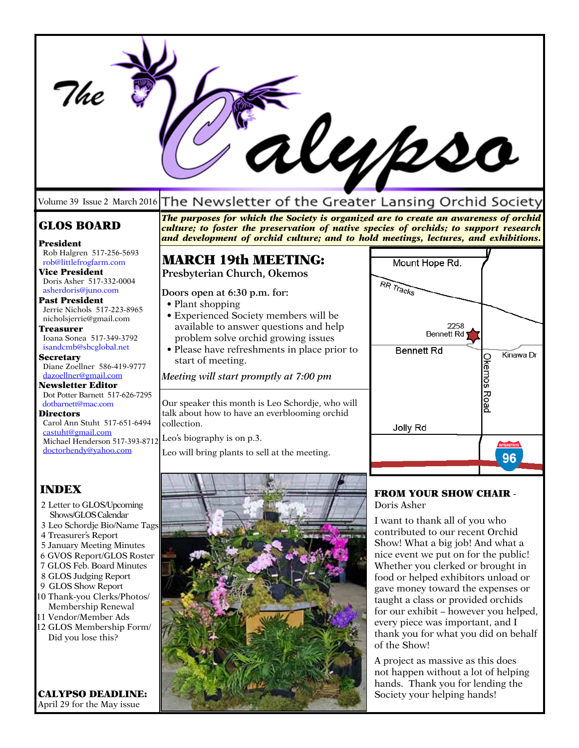|                                                                                                                                                                                                                                                                                                                                                                                                                                                                                                                                                                                                       |                                                                                                                                                                                                                                                                                                                                                                                                                                                                                                                                                           | il <i>ypso</i>                                                                                                                                                                                                                                                                                                                                                                                                                                                                                                                  |
|-------------------------------------------------------------------------------------------------------------------------------------------------------------------------------------------------------------------------------------------------------------------------------------------------------------------------------------------------------------------------------------------------------------------------------------------------------------------------------------------------------------------------------------------------------------------------------------------------------|-----------------------------------------------------------------------------------------------------------------------------------------------------------------------------------------------------------------------------------------------------------------------------------------------------------------------------------------------------------------------------------------------------------------------------------------------------------------------------------------------------------------------------------------------------------|---------------------------------------------------------------------------------------------------------------------------------------------------------------------------------------------------------------------------------------------------------------------------------------------------------------------------------------------------------------------------------------------------------------------------------------------------------------------------------------------------------------------------------|
|                                                                                                                                                                                                                                                                                                                                                                                                                                                                                                                                                                                                       | Volume 39 Issue 2 March 2016 The Newsletter of the Greater Lansing Orchid Society                                                                                                                                                                                                                                                                                                                                                                                                                                                                         |                                                                                                                                                                                                                                                                                                                                                                                                                                                                                                                                 |
| <b>GLOS BOARD</b>                                                                                                                                                                                                                                                                                                                                                                                                                                                                                                                                                                                     | The purposes for which the Society is organized are to create an awareness of orchid<br>culture; to foster the preservation of native species of orchids; to support research<br>and development of orchid culture; and to hold meetings, lectures, and exhibitions.                                                                                                                                                                                                                                                                                      |                                                                                                                                                                                                                                                                                                                                                                                                                                                                                                                                 |
| President<br>Rob Halgren 517-256-5693<br>rob@littlefrogfarm.com<br><b>Vice President</b><br>Doris Asher 517-332-0004<br>asherdoris@juno.com<br><b>Past President</b><br>Jerrie Nichols 517-223-8965<br>nicholsjerrie@gmail.com<br>Treasurer<br>Ioana Sonea 517-349-3792<br>isandcmb@sbcglobal.net<br><b>Secretary</b><br>Diane Zoellner 586-419-9777<br>dazoellner@gmail.com<br><b>Newsletter Editor</b><br>Dot Potter Barnett 517-626-7295<br>dotbarnett@mac.com<br><b>Directors</b><br>Carol Ann Stuht 517-651-6494<br>castuht@gmail.com<br>Michael Henderson 517-393-8712<br>doctorhendy@yahoo.com | <b>MARCH 19th MEETING:</b><br>Presbyterian Church, Okemos<br>Doors open at 6:30 p.m. for:<br>• Plant shopping<br>• Experienced Society members will be<br>available to answer questions and help<br>problem solve orchid growing issues<br>• Please have refreshments in place prior to<br>start of meeting.<br>Meeting will start promptly at 7:00 pm<br>Our speaker this month is Leo Schordje, who will<br>talk about how to have an everblooming orchid<br>collection.<br>Leo's biography is on p.3.<br>Leo will bring plants to sell at the meeting. | Mount Hope Rd.<br>RR Tracks<br>2258<br><b>Bennett Rd</b><br><b>Bennett Rd</b><br>Kinawa Dr<br>Okemos<br>Road<br>Jolly Rd<br><b>INTERSTATE</b><br>96                                                                                                                                                                                                                                                                                                                                                                             |
| <b>INDEX</b><br>2 Letter to GLOS/Upcoming<br>Shows/GLOS Calendar<br>3 Leo Schordje Bio/Name Tags<br>4 Treasurer's Report<br>5 January Meeting Minutes<br>6 GVOS Report/GLOS Roster<br>7 GLOS Feb. Board Minutes<br>8 GLOS Judging Report<br>9 GLOS Show Report<br>10 Thank-you Clerks/Photos/<br>Membership Renewal<br>11 Vendor/Member Ads<br>12 GLOS Membership Form/<br>Did you lose this?                                                                                                                                                                                                         |                                                                                                                                                                                                                                                                                                                                                                                                                                                                                                                                                           | <b>FROM YOUR SHOW CHAIR -</b><br>Doris Asher<br>I want to thank all of you who<br>contributed to our recent Orchid<br>Show! What a big job! And what a<br>nice event we put on for the public!<br>Whether you clerked or brought in<br>food or helped exhibitors unload or<br>gave money toward the expenses or<br>taught a class or provided orchids<br>for our exhibit - however you helped,<br>every piece was important, and I<br>thank you for what you did on behalf<br>of the Show!<br>A project as massive as this does |

CALYPSO DEADLINE: April 29 for the May issue

not happen without a lot of helping hands. Thank you for lending the Society your helping hands!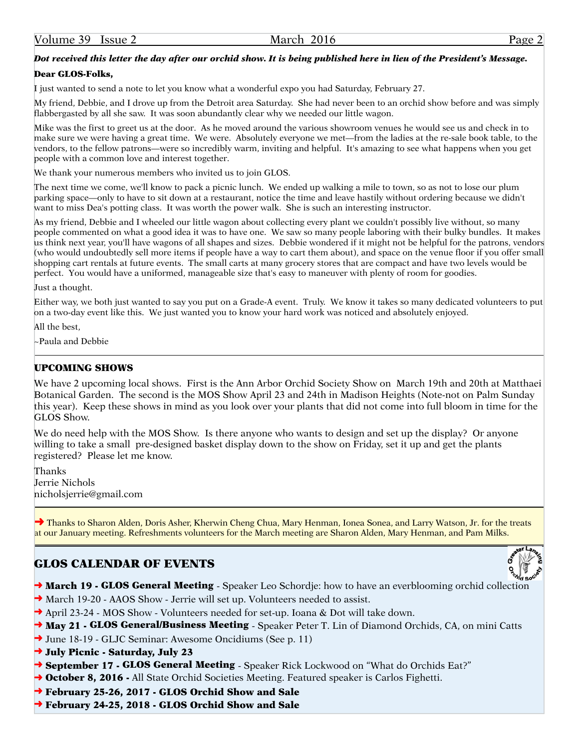### *Dot received this letter the day after our orchid show. It is being published here in lieu of the President's Message.*

#### Dear GLOS-Folks,

I just wanted to send a note to let you know what a wonderful expo you had Saturday, February 27.

My friend, Debbie, and I drove up from the Detroit area Saturday. She had never been to an orchid show before and was simply flabbergasted by all she saw. It was soon abundantly clear why we needed our little wagon.

Mike was the first to greet us at the door. As he moved around the various showroom venues he would see us and check in to make sure we were having a great time. We were. Absolutely everyone we met—from the ladies at the re-sale book table, to the vendors, to the fellow patrons—were so incredibly warm, inviting and helpful. It's amazing to see what happens when you get people with a common love and interest together.

We thank your numerous members who invited us to join GLOS.

The next time we come, we'll know to pack a picnic lunch. We ended up walking a mile to town, so as not to lose our plum parking space—only to have to sit down at a restaurant, notice the time and leave hastily without ordering because we didn't want to miss Dea's potting class. It was worth the power walk. She is such an interesting instructor.

As my friend, Debbie and I wheeled our little wagon about collecting every plant we couldn't possibly live without, so many people commented on what a good idea it was to have one. We saw so many people laboring with their bulky bundles. It makes us think next year, you'll have wagons of all shapes and sizes. Debbie wondered if it might not be helpful for the patrons, vendors (who would undoubtedly sell more items if people have a way to cart them about), and space on the venue floor if you offer small shopping cart rentals at future events. The small carts at many grocery stores that are compact and have two levels would be perfect. You would have a uniformed, manageable size that's easy to maneuver with plenty of room for goodies.

Just a thought.

Either way, we both just wanted to say you put on a Grade-A event. Truly. We know it takes so many dedicated volunteers to put on a two-day event like this. We just wanted you to know your hard work was noticed and absolutely enjoyed.

All the best,

~Paula and Debbie

#### UPCOMING SHOWS

We have 2 upcoming local shows. First is the Ann Arbor Orchid Society Show on March 19th and 20th at Matthaei Botanical Garden. The second is the MOS Show April 23 and 24th in Madison Heights (Note-not on Palm Sunday this year). Keep these shows in mind as you look over your plants that did not come into full bloom in time for the GLOS Show.

We do need help with the MOS Show. Is there anyone who wants to design and set up the display? Or anyone willing to take a small pre-designed basket display down to the show on Friday, set it up and get the plants registered? Please let me know.

Thanks Jerrie Nichols nicholsjerrie@gmail.com

→ Thanks to Sharon Alden, Doris Asher, Kherwin Cheng Chua, Mary Henman, Ionea Sonea, and Larry Watson, Jr. for the treats at our January meeting. Refreshments volunteers for the March meeting are Sharon Alden, Mary Henman, and Pam Milks.

# GLOS CALENDAR OF EVENTS

- March 19 GLOS General Meeting Speaker Leo Schordje: how to have an everblooming orchid collection
- ➜ March 19-20 AAOS Show Jerrie will set up. Volunteers needed to assist.
- → April 23-24 MOS Show Volunteers needed for set-up. Ioana & Dot will take down.
- → May 21 GLOS General/Business Meeting Speaker Peter T. Lin of Diamond Orchids, CA, on mini Catts
- ➜ June 18-19 GLJC Seminar: Awesome Oncidiums (See p. 11)
- → July Picnic Saturday, July 23
- → September 17 GLOS General Meeting Speaker Rick Lockwood on "What do Orchids Eat?"
- → October 8, 2016 All State Orchid Societies Meeting. Featured speaker is Carlos Fighetti.
- → February 25-26, 2017 GLOS Orchid Show and Sale
- ➜ February 24-25, 2018 GLOS Orchid Show and Sale



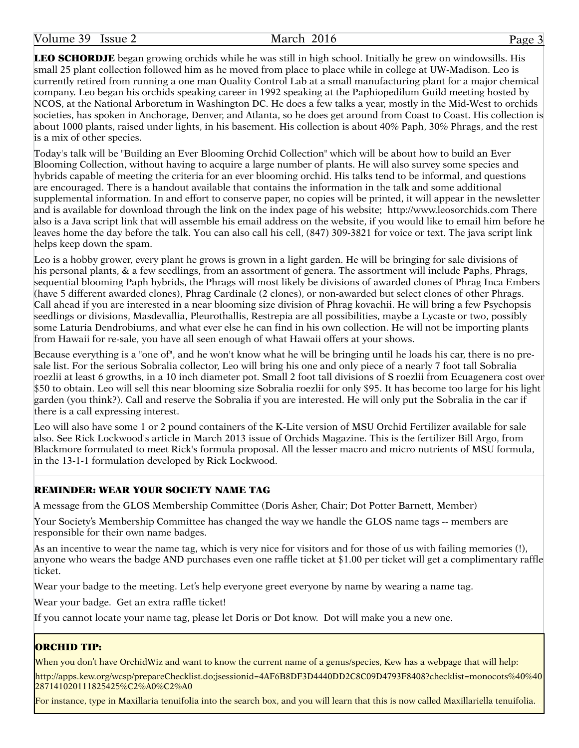Volume 39 Issue 2 March 2016 Page 3

LEO SCHORDJE began growing orchids while he was still in high school. Initially he grew on windowsills. His small 25 plant collection followed him as he moved from place to place while in college at UW-Madison. Leo is currently retired from running a one man Quality Control Lab at a small manufacturing plant for a major chemical company. Leo began his orchids speaking career in 1992 speaking at the Paphiopedilum Guild meeting hosted by NCOS, at the National Arboretum in Washington DC. He does a few talks a year, mostly in the Mid-West to orchids societies, has spoken in Anchorage, Denver, and Atlanta, so he does get around from Coast to Coast. His collection is about 1000 plants, raised under lights, in his basement. His collection is about 40% Paph, 30% Phrags, and the rest is a mix of other species.

Today's talk will be "Building an Ever Blooming Orchid Collection" which will be about how to build an Ever Blooming Collection, without having to acquire a large number of plants. He will also survey some species and hybrids capable of meeting the criteria for an ever blooming orchid. His talks tend to be informal, and questions are encouraged. There is a handout available that contains the information in the talk and some additional supplemental information. In and effort to conserve paper, no copies will be printed, it will appear in the newsletter and is available for download through the link on the index page of his website; http://www.leosorchids.com There also is a Java script link that will assemble his email address on the website, if you would like to email him before he leaves home the day before the talk. You can also call his cell, (847) 309-3821 for voice or text. The java script link helps keep down the spam.

Leo is a hobby grower, every plant he grows is grown in a light garden. He will be bringing for sale divisions of his personal plants, & a few seedlings, from an assortment of genera. The assortment will include Paphs, Phrags, sequential blooming Paph hybrids, the Phrags will most likely be divisions of awarded clones of Phrag Inca Embers (have 5 different awarded clones), Phrag Cardinale (2 clones), or non-awarded but select clones of other Phrags. Call ahead if you are interested in a near blooming size division of Phrag kovachii. He will bring a few Psychopsis seedlings or divisions, Masdevallia, Pleurothallis, Restrepia are all possibilities, maybe a Lycaste or two, possibly some Laturia Dendrobiums, and what ever else he can find in his own collection. He will not be importing plants from Hawaii for re-sale, you have all seen enough of what Hawaii offers at your shows.

Because everything is a "one of", and he won't know what he will be bringing until he loads his car, there is no presale list. For the serious Sobralia collector, Leo will bring his one and only piece of a nearly 7 foot tall Sobralia roezlii at least 6 growths, in a 10 inch diameter pot. Small 2 foot tall divisions of S roezlii from Ecuagenera cost over \$50 to obtain. Leo will sell this near blooming size Sobralia roezlii for only \$95. It has become too large for his light garden (you think?). Call and reserve the Sobralia if you are interested. He will only put the Sobralia in the car if there is a call expressing interest.

Leo will also have some 1 or 2 pound containers of the K-Lite version of MSU Orchid Fertilizer available for sale also. See Rick Lockwood's article in March 2013 issue of Orchids Magazine. This is the fertilizer Bill Argo, from Blackmore formulated to meet Rick's formula proposal. All the lesser macro and micro nutrients of MSU formula, in the 13-1-1 formulation developed by Rick Lockwood.

### REMINDER: WEAR YOUR SOCIETY NAME TAG

A message from the GLOS Membership Committee (Doris Asher, Chair; Dot Potter Barnett, Member)

Your Society's Membership Committee has changed the way we handle the GLOS name tags -- members are responsible for their own name badges.

As an incentive to wear the name tag, which is very nice for visitors and for those of us with failing memories (!), anyone who wears the badge AND purchases even one raffle ticket at \$1.00 per ticket will get a complimentary raffle ticket.

Wear your badge to the meeting. Let's help everyone greet everyone by name by wearing a name tag.

Wear your badge. Get an extra raffle ticket!

If you cannot locate your name tag, please let Doris or Dot know. Dot will make you a new one.

#### ORCHID TIP:

When you don't have OrchidWiz and want to know the current name of a genus/species, Kew has a webpage that will help:

<http://apps.kew.org/wcsp/prepareChecklist.do>;jsessionid=4AF6B8DF3D4440DD2C8C09D4793F8408?checklist=monocots%40%40 287141020111825425%C2%A0%C2%A0

For instance, type in Maxillaria tenuifolia into the search box, and you will learn that this is now called Maxillariella tenuifolia.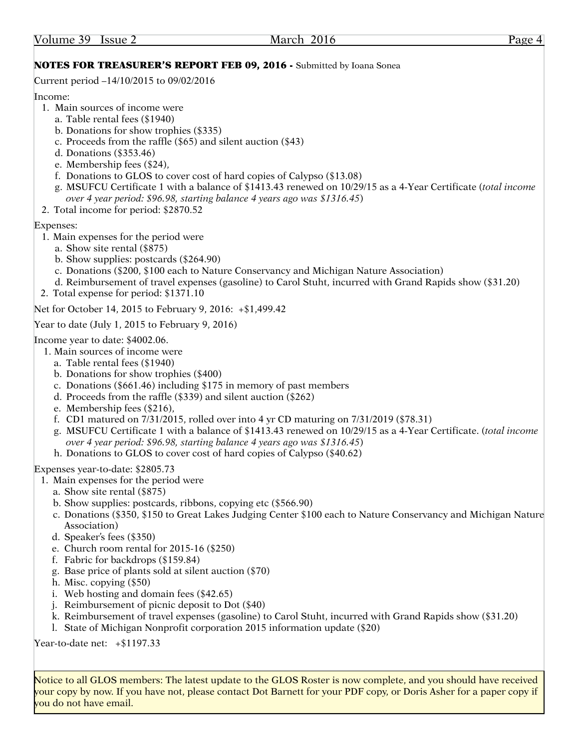# NOTES FOR TREASURER'S REPORT FEB 09, 2016 - Submitted by Ioana Sonea

Current period –14/10/2015 to 09/02/2016

Income:

- 1. Main sources of income were
	- a. Table rental fees (\$1940)
	- b. Donations for show trophies (\$335)
	- c. Proceeds from the raffle (\$65) and silent auction (\$43)
	- d. Donations (\$353.46)
	- e. Membership fees (\$24),
	- f. Donations to GLOS to cover cost of hard copies of Calypso (\$13.08)
	- g. MSUFCU Certificate 1 with a balance of \$1413.43 renewed on 10/29/15 as a 4-Year Certificate (*total income over 4 year period: \$96.98, starting balance 4 years ago was \$1316.45*)
- 2. Total income for period: \$2870.52

# Expenses:

- 1. Main expenses for the period were
	- a. Show site rental (\$875)
	- b. Show supplies: postcards (\$264.90)
	- c. Donations (\$200, \$100 each to Nature Conservancy and Michigan Nature Association)
	- d. Reimbursement of travel expenses (gasoline) to Carol Stuht, incurred with Grand Rapids show (\$31.20)
- 2. Total expense for period: \$1371.10

Net for October 14, 2015 to February 9, 2016: +\$1,499.42

Year to date (July 1, 2015 to February 9, 2016)

Income year to date: \$4002.06.

- 1. Main sources of income were
	- a. Table rental fees (\$1940)
	- b. Donations for show trophies (\$400)
	- c. Donations (\$661.46) including \$175 in memory of past members
	- d. Proceeds from the raffle (\$339) and silent auction (\$262)
	- e. Membership fees (\$216),
	- f. CD1 matured on 7/31/2015, rolled over into 4 yr CD maturing on 7/31/2019 (\$78.31)
	- g. MSUFCU Certificate 1 with a balance of \$1413.43 renewed on 10/29/15 as a 4-Year Certificate. (*total income over 4 year period: \$96.98, starting balance 4 years ago was \$1316.45*)
	- h. Donations to GLOS to cover cost of hard copies of Calypso (\$40.62)

Expenses year-to-date: \$2805.73

- 1. Main expenses for the period were
	- a. Show site rental (\$875)
	- b. Show supplies: postcards, ribbons, copying etc (\$566.90)
	- c. Donations (\$350, \$150 to Great Lakes Judging Center \$100 each to Nature Conservancy and Michigan Nature Association)
	- d. Speaker's fees (\$350)
	- e. Church room rental for 2015-16 (\$250)
	- f. Fabric for backdrops (\$159.84)
	- g. Base price of plants sold at silent auction (\$70)
	- h. Misc. copying (\$50)
	- i. Web hosting and domain fees (\$42.65)
	- j. Reimbursement of picnic deposit to Dot (\$40)
	- k. Reimbursement of travel expenses (gasoline) to Carol Stuht, incurred with Grand Rapids show (\$31.20)
	- l. State of Michigan Nonprofit corporation 2015 information update (\$20)

Year-to-date net: +\$1197.33

Notice to all GLOS members: The latest update to the GLOS Roster is now complete, and you should have received your copy by now. If you have not, please contact Dot Barnett for your PDF copy, or Doris Asher for a paper copy if you do not have email.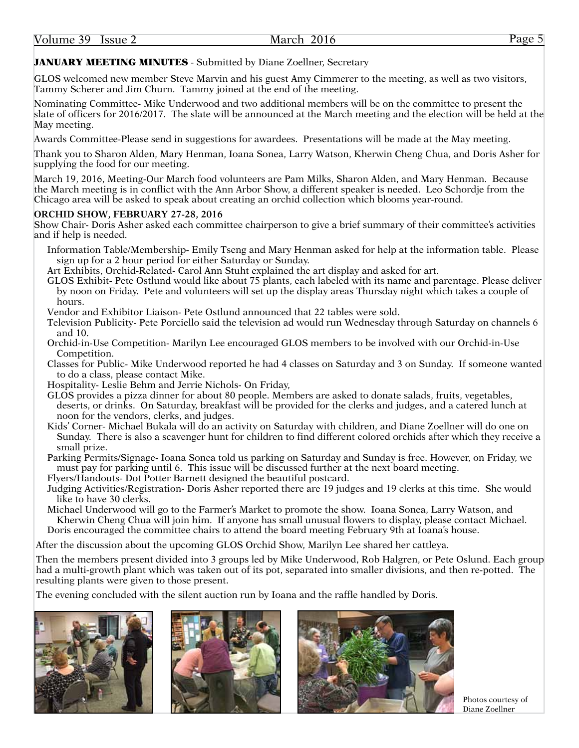# JANUARY MEETING MINUTES - Submitted by Diane Zoellner, Secretary

GLOS welcomed new member Steve Marvin and his guest Amy Cimmerer to the meeting, as well as two visitors, Tammy Scherer and Jim Churn. Tammy joined at the end of the meeting.

Nominating Committee- Mike Underwood and two additional members will be on the committee to present the slate of officers for 2016/2017. The slate will be announced at the March meeting and the election will be held at the May meeting.

Awards Committee-Please send in suggestions for awardees. Presentations will be made at the May meeting.

Thank you to Sharon Alden, Mary Henman, Ioana Sonea, Larry Watson, Kherwin Cheng Chua, and Doris Asher for supplying the food for our meeting.

March 19, 2016, Meeting-Our March food volunteers are Pam Milks, Sharon Alden, and Mary Henman. Because the March meeting is in conflict with the Ann Arbor Show, a different speaker is needed. Leo Schordje from the Chicago area will be asked to speak about creating an orchid collection which blooms year-round.

# **ORCHID SHOW, FEBRUARY 27-28, 2016**

Show Chair- Doris Asher asked each committee chairperson to give a brief summary of their committee's activities and if help is needed.

Information Table/Membership- Emily Tseng and Mary Henman asked for help at the information table. Please sign up for a 2 hour period for either Saturday or Sunday.

Art Exhibits, Orchid-Related- Carol Ann Stuht explained the art display and asked for art.

- GLOS Exhibit- Pete Ostlund would like about 75 plants, each labeled with its name and parentage. Please deliver by noon on Friday. Pete and volunteers will set up the display areas Thursday night which takes a couple of hours.
- Vendor and Exhibitor Liaison- Pete Ostlund announced that 22 tables were sold.
- Television Publicity- Pete Porciello said the television ad would run Wednesday through Saturday on channels 6 and 10.
- Orchid-in-Use Competition- Marilyn Lee encouraged GLOS members to be involved with our Orchid-in-Use Competition.
- Classes for Public- Mike Underwood reported he had 4 classes on Saturday and 3 on Sunday. If someone wanted to do a class, please contact Mike.

Hospitality- Leslie Behm and Jerrie Nichols- On Friday,

- GLOS provides a pizza dinner for about 80 people. Members are asked to donate salads, fruits, vegetables, deserts, or drinks. On Saturday, breakfast will be provided for the clerks and judges, and a catered lunch at noon for the vendors, clerks, and judges.
- Kids' Corner- Michael Bukala will do an activity on Saturday with children, and Diane Zoellner will do one on Sunday. There is also a scavenger hunt for children to find different colored orchids after which they receive a small prize.
- Parking Permits/Signage- Ioana Sonea told us parking on Saturday and Sunday is free. However, on Friday, we must pay for parking until 6. This issue will be discussed further at the next board meeting.
- Flyers/Handouts- Dot Potter Barnett designed the beautiful postcard.
- Judging Activities/Registration- Doris Asher reported there are 19 judges and 19 clerks at this time. She would like to have 30 clerks.
- Michael Underwood will go to the Farmer's Market to promote the show. Ioana Sonea, Larry Watson, and Kherwin Cheng Chua will join him. If anyone has small unusual flowers to display, please contact Michael. Doris encouraged the committee chairs to attend the board meeting February 9th at Ioana's house.

After the discussion about the upcoming GLOS Orchid Show, Marilyn Lee shared her cattleya.

Then the members present divided into 3 groups led by Mike Underwood, Rob Halgren, or Pete Oslund. Each group had a multi-growth plant which was taken out of its pot, separated into smaller divisions, and then re-potted. The resulting plants were given to those present.

The evening concluded with the silent auction run by Ioana and the raffle handled by Doris.

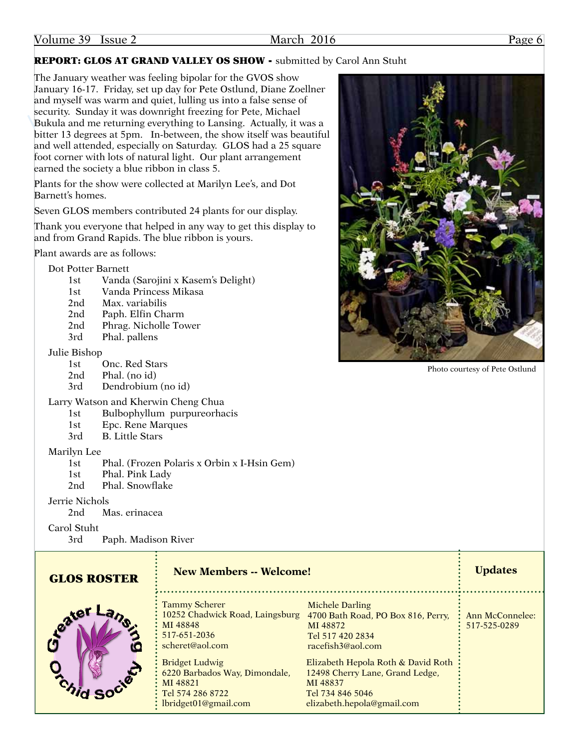# REPORT: GLOS AT GRAND VALLEY OS SHOW - submitted by Carol Ann Stuht

The January weather was feeling bipolar for the GVOS show January 16-17. Friday, set up day for Pete Ostlund, Diane Zoellner and myself was warm and quiet, lulling us into a false sense of security. Sunday it was downright freezing for Pete, Michael Bukula and me returning everything to Lansing. Actually, it was a bitter 13 degrees at 5pm. In-between, the show itself was beautiful and well attended, especially on Saturday. GLOS had a 25 square foot corner with lots of natural light. Our plant arrangement earned the society a blue ribbon in class 5.

Plants for the show were collected at Marilyn Lee's, and Dot Barnett's homes.

Seven GLOS members contributed 24 plants for our display.

Thank you everyone that helped in any way to get this display to and from Grand Rapids. The blue ribbon is yours.

Plant awards are as follows:

Dot Potter Barnett

- 1st Vanda (Sarojini x Kasem's Delight)
- 1st Vanda Princess Mikasa
- 2nd Max. variabilis
- 2nd Paph. Elfin Charm
- 2nd Phrag. Nicholle Tower
- 3rd Phal. pallens

# Julie Bishop

- 1st Onc. Red Stars
- 2nd Phal. (no id)
- 3rd Dendrobium (no id)
- Larry Watson and Kherwin Cheng Chua
	- 1st Bulbophyllum purpureorhacis
	- 1st Epc. Rene Marques
	- 3rd B. Little Stars

Marilyn Lee

- 1st Phal. (Frozen Polaris x Orbin x I-Hsin Gem)
- 1st Phal. Pink Lady
- 2nd Phal. Snowflake

# Jerrie Nichols

2nd Mas. erinacea

Carol Stuht

3rd Paph. Madison River

| <b>GLOS ROSTER</b> | <b>New Members -- Welcome!</b>                                                                                     |                                                                                                                                                   | <b>Updates</b>                  |
|--------------------|--------------------------------------------------------------------------------------------------------------------|---------------------------------------------------------------------------------------------------------------------------------------------------|---------------------------------|
| Ceater             | <b>Tammy Scherer</b><br>MI 48848<br>517-651-2036<br>scheret@aol.com                                                | <b>Michele Darling</b><br>10252 Chadwick Road, Laingsburg 4700 Bath Road, PO Box 816, Perry,<br>MI 48872<br>Tel 517 420 2834<br>racefish3@aol.com | Ann McConnelee:<br>517-525-0289 |
| 300                | <b>Bridget Ludwig</b><br>6220 Barbados Way, Dimondale,<br>MI 48821<br>Tel 574 286 8722<br>: $lbridget01@gmail.com$ | Elizabeth Hepola Roth & David Roth<br>12498 Cherry Lane, Grand Ledge,<br>MI 48837<br>Tel 734 846 5046<br>elizabeth.hepola@gmail.com               |                                 |



Photo courtesy of Pete Ostlund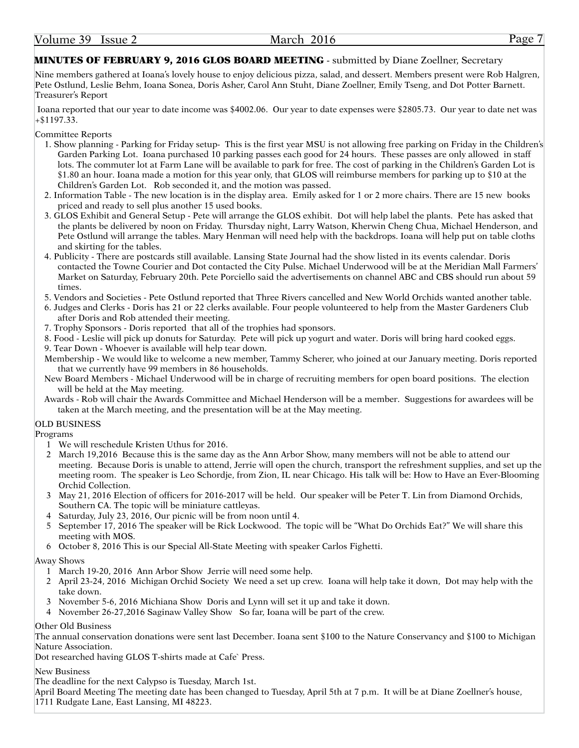### **MINUTES OF FEBRUARY 9, 2016 GLOS BOARD MEETING** - submitted by Diane Zoellner, Secretary

Nine members gathered at Ioana's lovely house to enjoy delicious pizza, salad, and dessert. Members present were Rob Halgren, Pete Ostlund, Leslie Behm, Ioana Sonea, Doris Asher, Carol Ann Stuht, Diane Zoellner, Emily Tseng, and Dot Potter Barnett. Treasurer's Report

Ioana reported that our year to date income was \$4002.06. Our year to date expenses were \$2805.73. Our year to date net was +\$1197.33.

Committee Reports

- 1. Show planning Parking for Friday setup- This is the first year MSU is not allowing free parking on Friday in the Children's Garden Parking Lot. Ioana purchased 10 parking passes each good for 24 hours. These passes are only allowed in staff lots. The commuter lot at Farm Lane will be available to park for free. The cost of parking in the Children's Garden Lot is \$1.80 an hour. Ioana made a motion for this year only, that GLOS will reimburse members for parking up to \$10 at the Children's Garden Lot. Rob seconded it, and the motion was passed.
- 2. Information Table The new location is in the display area. Emily asked for 1 or 2 more chairs. There are 15 new books priced and ready to sell plus another 15 used books.
- 3. GLOS Exhibit and General Setup Pete will arrange the GLOS exhibit. Dot will help label the plants. Pete has asked that the plants be delivered by noon on Friday. Thursday night, Larry Watson, Kherwin Cheng Chua, Michael Henderson, and Pete Ostlund will arrange the tables. Mary Henman will need help with the backdrops. Ioana will help put on table cloths and skirting for the tables.
- 4. Publicity There are postcards still available. Lansing State Journal had the show listed in its events calendar. Doris contacted the Towne Courier and Dot contacted the City Pulse. Michael Underwood will be at the Meridian Mall Farmers' Market on Saturday, February 20th. Pete Porciello said the advertisements on channel ABC and CBS should run about 59 times.
- 5. Vendors and Societies Pete Ostlund reported that Three Rivers cancelled and New World Orchids wanted another table.
- 6. Judges and Clerks Doris has 21 or 22 clerks available. Four people volunteered to help from the Master Gardeners Club after Doris and Rob attended their meeting.
- 7. Trophy Sponsors Doris reported that all of the trophies had sponsors.
- 8. Food Leslie will pick up donuts for Saturday. Pete will pick up yogurt and water. Doris will bring hard cooked eggs.
- 9. Tear Down Whoever is available will help tear down.
- Membership We would like to welcome a new member, Tammy Scherer, who joined at our January meeting. Doris reported that we currently have 99 members in 86 households.
- New Board Members Michael Underwood will be in charge of recruiting members for open board positions. The election will be held at the May meeting.
- Awards Rob will chair the Awards Committee and Michael Henderson will be a member. Suggestions for awardees will be taken at the March meeting, and the presentation will be at the May meeting.

#### OLD BUSINESS

Programs

- 1 We will reschedule Kristen Uthus for 2016.
- 2 March 19,2016 Because this is the same day as the Ann Arbor Show, many members will not be able to attend our meeting. Because Doris is unable to attend, Jerrie will open the church, transport the refreshment supplies, and set up the meeting room. The speaker is Leo Schordje, from Zion, IL near Chicago. His talk will be: How to Have an Ever-Blooming Orchid Collection.
- 3 May 21, 2016 Election of officers for 2016-2017 will be held. Our speaker will be Peter T. Lin from Diamond Orchids, Southern CA. The topic will be miniature cattleyas.
- 4 Saturday, July 23, 2016, Our picnic will be from noon until 4.
- 5 September 17, 2016 The speaker will be Rick Lockwood. The topic will be "What Do Orchids Eat?" We will share this meeting with MOS.
- 6 October 8, 2016 This is our Special All-State Meeting with speaker Carlos Fighetti.

Away Shows

- 1 March 19-20, 2016 Ann Arbor Show Jerrie will need some help.
- 2 April 23-24, 2016 Michigan Orchid Society We need a set up crew. Ioana will help take it down, Dot may help with the take down.
- 3 November 5-6, 2016 Michiana Show Doris and Lynn will set it up and take it down.
- 4 November 26-27,2016 Saginaw Valley Show So far, Ioana will be part of the crew.

Other Old Business

The annual conservation donations were sent last December. Ioana sent \$100 to the Nature Conservancy and \$100 to Michigan Nature Association.

Dot researched having GLOS T-shirts made at Cafe` Press.

New Business

The deadline for the next Calypso is Tuesday, March 1st.

April Board Meeting The meeting date has been changed to Tuesday, April 5th at 7 p.m. It will be at Diane Zoellner's house, 1711 Rudgate Lane, East Lansing, MI 48223.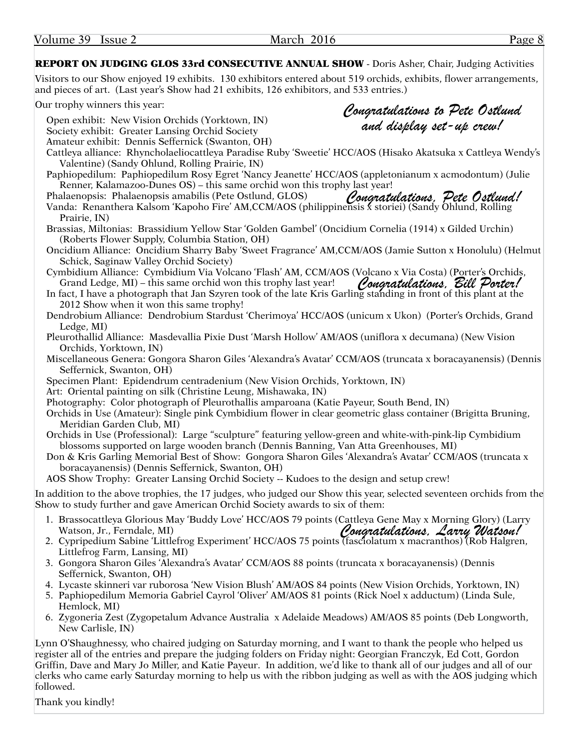Volume 39 Issue 2 March 2016 Page 8

*Congratulations to Pete Ostlund and display set-up crew!*

REPORT ON JUDGING GLOS 33rd CONSECUTIVE ANNUAL SHOW - Doris Asher, Chair, Judging Activities

Visitors to our Show enjoyed 19 exhibits. 130 exhibitors entered about 519 orchids, exhibits, flower arrangements, and pieces of art. (Last year's Show had 21 exhibits, 126 exhibitors, and 533 entries.)

Our trophy winners this year:

Open exhibit: New Vision Orchids (Yorktown, IN)

Society exhibit: Greater Lansing Orchid Society

Amateur exhibit: Dennis Seffernick (Swanton, OH)

Cattleya alliance: Rhyncholaeliocattleya Paradise Ruby 'Sweetie' HCC/AOS (Hisako Akatsuka x Cattleya Wendy's Valentine) (Sandy Ohlund, Rolling Prairie, IN)

Paphiopedilum: Paphiopedilum Rosy Egret 'Nancy Jeanette' HCC/AOS (appletonianum x acmodontum) (Julie Renner, Kalamazoo-Dunes OS) – this same orchid won this trophy last year!

Phalaenopsis: Phalaenopsis amabilis (Pete Ostlund, GLOS) Vanda: Renanthera Kalsom 'Kapoho Fire' AM,CCM/AOS (philippinensis *f* storiei) (Sandy Ohlund, Rolling Prairie, IN) *Congratulations, Pete Ostlund!*

Brassias, Miltonias: Brassidium Yellow Star 'Golden Gambel' (Oncidium Cornelia (1914) x Gilded Urchin) (Roberts Flower Supply, Columbia Station, OH)

Oncidium Alliance: Oncidium Sharry Baby 'Sweet Fragrance' AM,CCM/AOS (Jamie Sutton x Honolulu) (Helmut Schick, Saginaw Valley Orchid Society)

Cymbidium Alliance: Cymbidium Via Volcano 'Flash' AM, CCM/AOS (Volcano x Via Costa) (Porter's Orchids, Grand Ledge, MI) – this same orchid won this trophy last year! *Congratulations, Bill Porter!*

In fact, I have a photograph that Jan Szyren took of the late Kris Garling standing in front of this plant at the 2012 Show when it won this same trophy!

Dendrobium Alliance: Dendrobium Stardust 'Cherimoya' HCC/AOS (unicum x Ukon) (Porter's Orchids, Grand Ledge, MI)

Pleurothallid Alliance: Masdevallia Pixie Dust 'Marsh Hollow' AM/AOS (uniflora x decumana) (New Vision Orchids, Yorktown, IN)

Miscellaneous Genera: Gongora Sharon Giles 'Alexandra's Avatar' CCM/AOS (truncata x boracayanensis) (Dennis Seffernick, Swanton, OH)

Specimen Plant: Epidendrum centradenium (New Vision Orchids, Yorktown, IN)

Art: Oriental painting on silk (Christine Leung, Mishawaka, IN)

Photography: Color photograph of Pleurothallis amparoana (Katie Payeur, South Bend, IN)

Orchids in Use (Amateur): Single pink Cymbidium flower in clear geometric glass container (Brigitta Bruning, Meridian Garden Club, MI)

- Orchids in Use (Professional): Large "sculpture" featuring yellow-green and white-with-pink-lip Cymbidium blossoms supported on large wooden branch (Dennis Banning, Van Atta Greenhouses, MI)
- Don & Kris Garling Memorial Best of Show: Gongora Sharon Giles 'Alexandra's Avatar' CCM/AOS (truncata x boracayanensis) (Dennis Seffernick, Swanton, OH)

AOS Show Trophy: Greater Lansing Orchid Society -- Kudoes to the design and setup crew!

In addition to the above trophies, the 17 judges, who judged our Show this year, selected seventeen orchids from the Show to study further and gave American Orchid Society awards to six of them:

- 1. Brassocattleya Glorious May 'Buddy Love' HCC/AOS 79 points (Cattleya Gene May x Morning Glory) (Larry Watson, Jr., Ferndale, MI) *Congratulations, Larry Watson!*
- 2. Cypripedium Sabine 'Littlefrog Experiment' HCC/AOS 75 points (fasciolatum x macranthos) (Rob Halgren, Littlefrog Farm, Lansing, MI)
- 3. Gongora Sharon Giles 'Alexandra's Avatar' CCM/AOS 88 points (truncata x boracayanensis) (Dennis Seffernick, Swanton, OH)
- 4. Lycaste skinneri var ruborosa 'New Vision Blush' AM/AOS 84 points (New Vision Orchids, Yorktown, IN)
- 5. Paphiopedilum Memoria Gabriel Cayrol 'Oliver' AM/AOS 81 points (Rick Noel x adductum) (Linda Sule, Hemlock, MI)
- 6. Zygoneria Zest (Zygopetalum Advance Australia x Adelaide Meadows) AM/AOS 85 points (Deb Longworth, New Carlisle, IN)

Lynn O'Shaughnessy, who chaired judging on Saturday morning, and I want to thank the people who helped us register all of the entries and prepare the judging folders on Friday night: Georgian Franczyk, Ed Cott, Gordon Griffin, Dave and Mary Jo Miller, and Katie Payeur. In addition, we'd like to thank all of our judges and all of our clerks who came early Saturday morning to help us with the ribbon judging as well as with the AOS judging which followed.

Thank you kindly!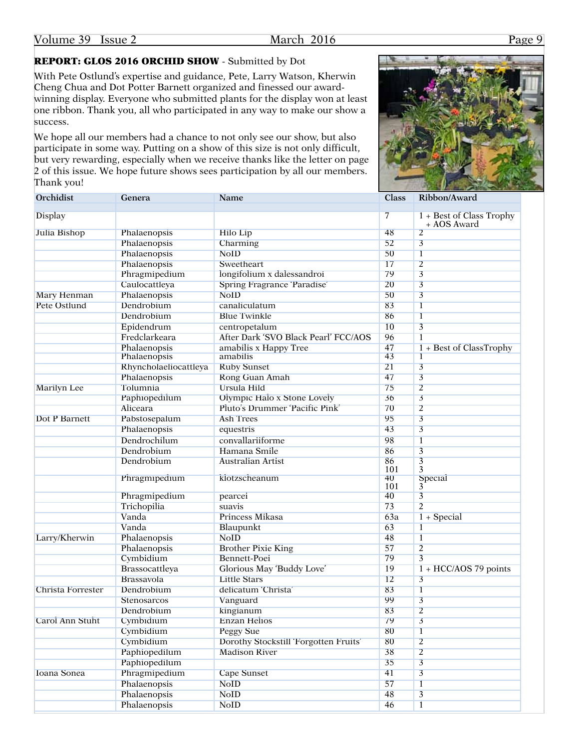# REPORT: GLOS 2016 ORCHID SHOW - Submitted by Dot

With Pete Ostlund's expertise and guidance, Pete, Larry Watson, Kherwin Cheng Chua and Dot Potter Barnett organized and finessed our awardwinning display. Everyone who submitted plants for the display won at least one ribbon. Thank you, all who participated in any way to make our show a success.

We hope all our members had a chance to not only see our show, but also participate in some way. Putting on a show of this size is not only difficult, but very rewarding, especially when we receive thanks like the letter on page 2 of this issue. We hope future shows sees participation by all our members. Thank you!



| Orchidist            | Genera                | Name                                  | Class          | Ribbon/Award                            |
|----------------------|-----------------------|---------------------------------------|----------------|-----------------------------------------|
| <b>Display</b>       |                       |                                       | $\overline{7}$ | 1 + Best of Class Trophy<br>+ AOS Award |
| Julia Bishop         | Phalaenopsis          | <b>Hilo Lip</b>                       | 48             | $\overline{2}$                          |
|                      | Phalaenopsis          | Charming                              | 52             | $\overline{\mathbf{3}}$                 |
|                      | Phalaenopsis          | <b>NoID</b>                           | 50             | $\mathbf{I}$                            |
|                      | Phalaenopsis          | Sweetheart                            | 17             | $\overline{2}$                          |
|                      | Phragmipedium         | longitolium x dalessandroi            | 79             | $\overline{3}$                          |
|                      | Caulocattleya         | Spring Fragrance 'Paradise'           | 20             | $\overline{\mathbf{3}}$                 |
| Mary Henman          | Phalaenopsis          | <b>NoID</b>                           | 50             | $\overline{\mathbf{3}}$                 |
| Pete Ostlund         | Dendrobium            | canaliculatum                         | 83             | $\overline{1}$                          |
|                      | Dendrobium            | <b>Blue Twinkle</b>                   | 86             | $\mathbf{I}$                            |
|                      | Epidendrum            | centropetalum                         | 10             | $\overline{\mathbf{3}}$                 |
|                      | Fredclarkeara         | After Dark 'SVO Black Pearl' FCC/AOS  | 96             | $\mathbf{1}$                            |
|                      | Phalaenopsis          | amabilis x Happy Tree                 | 47             | $1 + Best of ClassTrophy$               |
|                      | Phalaenopsis          | amabilis                              | 43             | $\mathbf{I}$                            |
|                      | Rhyncholaeliocattleya | <b>Ruby Sunset</b>                    | 21             | $\overline{3}$                          |
|                      | Phalaenopsis          | Rong Guan Amah                        | 47             | $\overline{3}$                          |
| <b>Marilyn Lee</b>   | Tolumnia              | Ursula Hild                           | 75             | $\overline{2}$                          |
|                      | Paphiopedilum         | Olympic Halo x Stone Lovely           | 36             | $\overline{3}$                          |
|                      | Aliceara              | Pluto's Drummer 'Pacific Pink'        | 70             | $\overline{2}$                          |
| <b>Dot P Barnett</b> | Pabstosepalum         | <b>Ash Trees</b>                      | 95             | $\overline{\mathbf{3}}$                 |
|                      | Phalaenopsis          | equestris                             | 43             | $\overline{3}$                          |
|                      | Dendrochilum          | convallariiforme                      | 98             | $\mathbf{1}$                            |
|                      | Dendrobium            | Hamana Smile                          | 86             | $\overline{\mathbf{3}}$                 |
|                      | Dendrobium            | <b>Australian Artist</b>              | 86<br>101      | $\overline{\mathbf{3}}$<br>3            |
|                      | Phragmipedium         | klotzscheanum                         | 40<br>101      | Special<br>3                            |
|                      | Phragmipedium         | pearcei                               | 40             | $\overline{\mathbf{3}}$                 |
|                      | Trichopilia           | suavis                                | 73             | $\overline{2}$                          |
|                      | Vanda                 | Princess Mikasa                       | 63a            | $1 + Special$                           |
|                      | Vanda                 | Blaupunkt                             | 63             | $\overline{1}$                          |
| Larry/Kherwin        | Phalaenopsis          | <b>NoID</b>                           | 48             | $\mathbf{1}$                            |
|                      | Phalaenopsis          | <b>Brother Pixie King</b>             | 57             | $\overline{2}$                          |
|                      | Cymbidium             | Bennett-Poei                          | 79             | $\overline{\mathbf{3}}$                 |
|                      | Brassocattleya        | Glorious May 'Buddy Love'             | 19             | $1 + HCC/AOS$ 79 points                 |
|                      | Brassavola            | <b>Little Stars</b>                   | 12             | $\overline{3}$                          |
| Christa Forrester    | Dendrobium            | delicatum 'Christa'                   | 83             | $\overline{1}$                          |
|                      | <b>Stenosarcos</b>    | Vanguard                              | 99             | $\overline{3}$                          |
|                      | Dendrobium            | kingianum                             | 83             | $\overline{2}$                          |
| Carol Ann Stuht      | Cymbidium             | Enzan Helios                          | 79             | 3                                       |
|                      | Cymbidium             | <b>Peggy Sue</b>                      | 80             | $\mathbf{I}$                            |
|                      | Cymbidium             | Dorothy Stockstill 'Forgotten Fruits' | 80             | $\overline{2}$                          |
|                      | Paphiopedilum         | <b>Madison River</b>                  | 38             | $\overline{2}$                          |
|                      | Paphiopedilum         |                                       | 35             | $\overline{3}$                          |
| Ioana Sonea          | Phragmipedium         | <b>Cape Sunset</b>                    | 41             | $\overline{3}$                          |
|                      | Phalaenopsis          | <b>NoID</b>                           | 57             | $\mathbf{1}$                            |
|                      | Phalaenopsis          | <b>NoID</b>                           | 48             | $\overline{3}$                          |
|                      | Phalaenopsis          | <b>NoID</b>                           | 46             |                                         |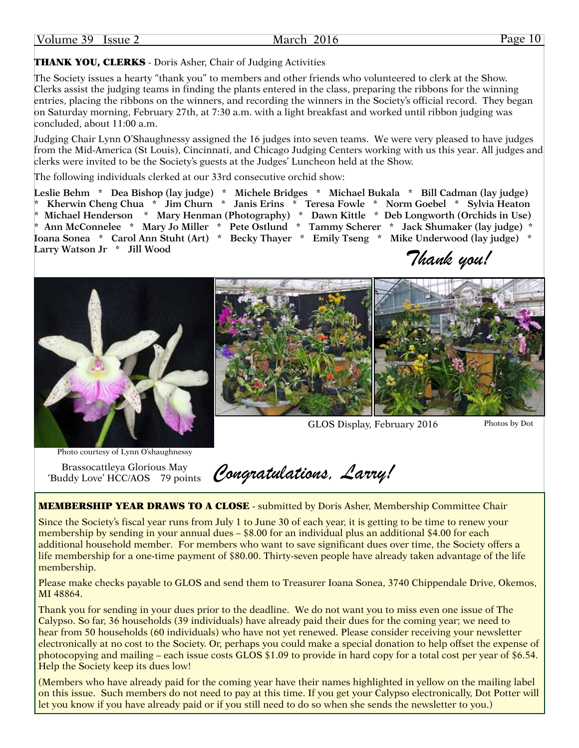#### March 2016 Page 10

# THANK YOU, CLERKS - Doris Asher, Chair of Judging Activities

The Society issues a hearty "thank you" to members and other friends who volunteered to clerk at the Show. Clerks assist the judging teams in finding the plants entered in the class, preparing the ribbons for the winning entries, placing the ribbons on the winners, and recording the winners in the Society's official record. They began on Saturday morning, February 27th, at 7:30 a.m. with a light breakfast and worked until ribbon judging was concluded, about 11:00 a.m.

Judging Chair Lynn O'Shaughnessy assigned the 16 judges into seven teams. We were very pleased to have judges from the Mid-America (St Louis), Cincinnati, and Chicago Judging Centers working with us this year. All judges and clerks were invited to be the Society's guests at the Judges' Luncheon held at the Show.

The following individuals clerked at our 33rd consecutive orchid show:

**Leslie Behm \* Dea Bishop (lay judge) \* Michele Bridges \* Michael Bukala \* Bill Cadman (lay judge) \* Kherwin Cheng Chua \* Jim Churn \* Janis Erins \* Teresa Fowle \* Norm Goebel \* Sylvia Heaton \* Michael Henderson \* Mary Henman (Photography) \* Dawn Kittle \* Deb Longworth (Orchids in Use) \* Ann McConnelee \* Mary Jo Miller \* Pete Ostlund \* Tammy Scherer \* Jack Shumaker (lay judge) \* Ioana Sonea \* Carol Ann Stuht (Art) \* Becky Thayer \* Emily Tseng \* Mike Underwood (lay judge) \* Larry Watson Jr \* Jill Wood**

*Thank you!*



GLOS Display, February 2016

Photos by Dot

Photo courtesy of Lynn O'shaughnessy

Brassocattleya Glorious May 'Buddy Love' HCC/AOS 79 points

*Congratulations, Larry!*

**MEMBERSHIP YEAR DRAWS TO A CLOSE** - submitted by Doris Asher, Membership Committee Chair

Since the Society's fiscal year runs from July 1 to June 30 of each year, it is getting to be time to renew your membership by sending in your annual dues – \$8.00 for an individual plus an additional \$4.00 for each additional household member. For members who want to save significant dues over time, the Society offers a life membership for a one-time payment of \$80.00. Thirty-seven people have already taken advantage of the life membership.

Please make checks payable to GLOS and send them to Treasurer Ioana Sonea, 3740 Chippendale Drive, Okemos, MI 48864.

Thank you for sending in your dues prior to the deadline. We do not want you to miss even one issue of The Calypso. So far, 36 households (39 individuals) have already paid their dues for the coming year; we need to hear from 50 households (60 individuals) who have not yet renewed. Please consider receiving your newsletter electronically at no cost to the Society. Or, perhaps you could make a special donation to help offset the expense of photocopying and mailing – each issue costs GLOS \$1.09 to provide in hard copy for a total cost per year of \$6.54. Help the Society keep its dues low!

(Members who have already paid for the coming year have their names highlighted in yellow on the mailing label on this issue. Such members do not need to pay at this time. If you get your Calypso electronically, Dot Potter will let you know if you have already paid or if you still need to do so when she sends the newsletter to you.)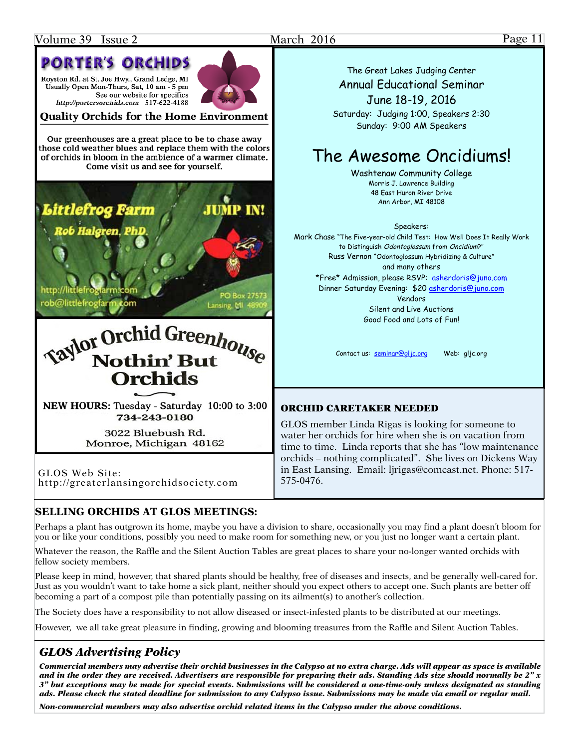# **PORTER'S ORCHIDS**

Royston Rd. at St. Joe Hwy., Grand Ledge, MI Usually Open Mon-Thurs, Sat, 10 am - 5 pm See our website for specifics http://portersorchids.com 517-622-4188

**Quality Orchids for the Home Environment** 

Our greenhouses are a great place to be to chase away those cold weather blues and replace them with the colors of orchids in bloom in the ambience of a warmer climate. Come visit us and see for yourself.



NEW HOURS: Tuesday - Saturday 10:00 to 3:00 734-243-0180

> 3022 Bluebush Rd. Monroe, Michigan 48162

GLOS Web Site: <http://greaterlansingorchidsociety.com>

The Great Lakes Judging Center Annual Educational Seminar June 18-19, 2016

Saturday: Judging 1:00, Speakers 2:30 Sunday: 9:00 AM Speakers

# The Awesome Oncidiums!

Washtenaw Community College Morris J. Lawrence Building 48 East Huron River Drive Ann Arbor, MI 48108

#### Speakers:

Mark Chase "The Five-year-old Child Test: How Well Does It Really Work to Distinguish Odontoglossum from Oncidium?" Russ Vernon "Odontoglossum Hybridizing & Culture" and many others \*Free\* Admission, please RSVP: asherdoris@juno.com Dinner Saturday Evening: \$20 asherdoris@juno.com Vendors Silent and Live Auctions Good Food and Lots of Fun!

Contact us: seminar@gljc.org Web: gljc.org

### ORCHID CARETAKER NEEDED

GLOS member Linda Rigas is looking for someone to water her orchids for hire when she is on vacation from time to time. Linda reports that she has "low maintenance orchids – nothing complicated". She lives on Dickens Way in East Lansing. Email: ljrigas@comcast.net. Phone: 517- 575-0476.

# **SELLING ORCHIDS AT GLOS MEETINGS:**

Perhaps a plant has outgrown its home, maybe you have a division to share, occasionally you may find a plant doesn't bloom for you or like your conditions, possibly you need to make room for something new, or you just no longer want a certain plant.

Whatever the reason, the Raffle and the Silent Auction Tables are great places to share your no-longer wanted orchids with fellow society members.

Please keep in mind, however, that shared plants should be healthy, free of diseases and insects, and be generally well-cared for. Just as you wouldn't want to take home a sick plant, neither should you expect others to accept one. Such plants are better off becoming a part of a compost pile than potentially passing on its ailment(s) to another's collection.

The Society does have a responsibility to not allow diseased or insect-infested plants to be distributed at our meetings.

However, we all take great pleasure in finding, growing and blooming treasures from the Raffle and Silent Auction Tables.

# *GLOS Advertising Policy*

*Commercial members may advertise their orchid businesses in the Calypso at no extra charge. Ads will appear as space is available and in the order they are received. Advertisers are responsible for preparing their ads. Standing Ads size should normally be 2" x 3" but exceptions may be made for special events. Submissions will be considered a one-time-only unless designated as standing ads. Please check the stated deadline for submission to any Calypso issue. Submissions may be made via email or regular mail.*

*Non-commercial members may also advertise orchid related items in the Calypso under the above conditions.*